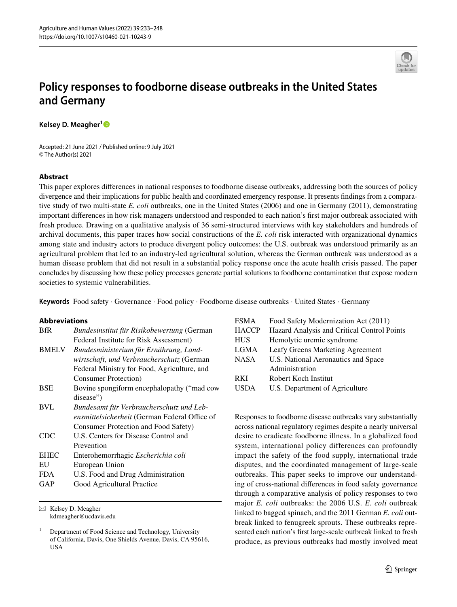

# **Policy responses to foodborne disease outbreaks in the United States and Germany**

**Kelsey D. Meagher[1](http://orcid.org/0000-0002-5841-1721)**

Accepted: 21 June 2021 / Published online: 9 July 2021 © The Author(s) 2021

# **Abstract**

This paper explores diferences in national responses to foodborne disease outbreaks, addressing both the sources of policy divergence and their implications for public health and coordinated emergency response. It presents fndings from a comparative study of two multi-state *E. coli* outbreaks, one in the United States (2006) and one in Germany (2011), demonstrating important diferences in how risk managers understood and responded to each nation's frst major outbreak associated with fresh produce. Drawing on a qualitative analysis of 36 semi-structured interviews with key stakeholders and hundreds of archival documents, this paper traces how social constructions of the *E. coli* risk interacted with organizational dynamics among state and industry actors to produce divergent policy outcomes: the U.S. outbreak was understood primarily as an agricultural problem that led to an industry-led agricultural solution, whereas the German outbreak was understood as a human disease problem that did not result in a substantial policy response once the acute health crisis passed. The paper concludes by discussing how these policy processes generate partial solutions to foodborne contamination that expose modern societies to systemic vulnerabilities.

**Keywords** Food safety · Governance · Food policy · Foodborne disease outbreaks · United States · Germany

#### **Abbreviations**

| <b>BfR</b>   | Bundesinstitut für Risikobewertung (German    |  |
|--------------|-----------------------------------------------|--|
|              | Federal Institute for Risk Assessment)        |  |
| <b>BMELV</b> | Bundesministerium für Ernährung, Land-        |  |
|              | wirtschaft, und Verbraucherschutz (German     |  |
|              | Federal Ministry for Food, Agriculture, and   |  |
|              | <b>Consumer Protection</b> )                  |  |
| <b>BSE</b>   | Bovine spongiform encephalopathy ("mad cow    |  |
|              | disease")                                     |  |
| <b>BVL</b>   | Bundesamt für Verbraucherschutz und Leb-      |  |
|              | ensmittelsicherheit (German Federal Office of |  |
|              | Consumer Protection and Food Safety)          |  |
| CDC.         | U.S. Centers for Disease Control and          |  |
|              | Prevention                                    |  |
| <b>EHEC</b>  | Enterohemorrhagic Escherichia coli            |  |
| EU           | European Union                                |  |
| <b>FDA</b>   | U.S. Food and Drug Administration             |  |
| GAP          | Good Agricultural Practice                    |  |
|              |                                               |  |

 $\boxtimes$  Kelsey D. Meagher

kdmeagher@ucdavis.edu

| <b>FSMA</b>  | Food Safety Modernization Act (2011)        |
|--------------|---------------------------------------------|
| <b>HACCP</b> | Hazard Analysis and Critical Control Points |
| <b>HUS</b>   | Hemolytic uremic syndrome                   |
| LGMA         | Leafy Greens Marketing Agreement            |
| <b>NASA</b>  | U.S. National Aeronautics and Space         |
|              | Administration                              |
| <b>RKI</b>   | Robert Koch Institut                        |
| <b>USDA</b>  | U.S. Department of Agriculture              |
|              |                                             |

Responses to foodborne disease outbreaks vary substantially across national regulatory regimes despite a nearly universal desire to eradicate foodborne illness. In a globalized food system, international policy differences can profoundly impact the safety of the food supply, international trade disputes, and the coordinated management of large-scale outbreaks. This paper seeks to improve our understanding of cross-national diferences in food safety governance through a comparative analysis of policy responses to two major *E. coli* outbreaks: the 2006 U.S. *E. coli* outbreak linked to bagged spinach, and the 2011 German *E. coli* outbreak linked to fenugreek sprouts. These outbreaks represented each nation's frst large-scale outbreak linked to fresh produce, as previous outbreaks had mostly involved meat

<sup>1</sup> Department of Food Science and Technology, University of California, Davis, One Shields Avenue, Davis, CA 95616, USA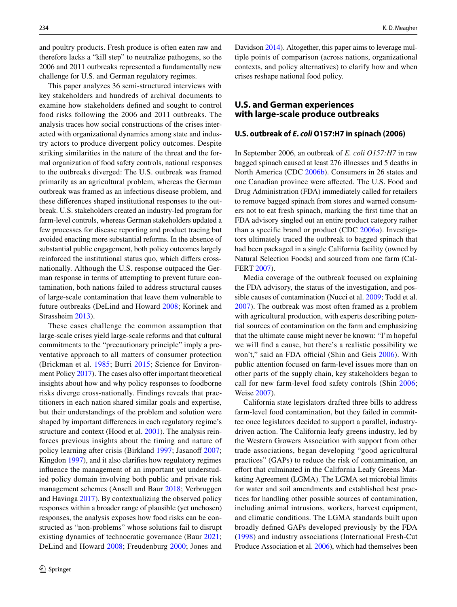and poultry products. Fresh produce is often eaten raw and therefore lacks a "kill step" to neutralize pathogens, so the 2006 and 2011 outbreaks represented a fundamentally new challenge for U.S. and German regulatory regimes.

This paper analyzes 36 semi-structured interviews with key stakeholders and hundreds of archival documents to examine how stakeholders defned and sought to control food risks following the 2006 and 2011 outbreaks. The analysis traces how social constructions of the crises interacted with organizational dynamics among state and industry actors to produce divergent policy outcomes. Despite striking similarities in the nature of the threat and the formal organization of food safety controls, national responses to the outbreaks diverged: The U.S. outbreak was framed primarily as an agricultural problem, whereas the German outbreak was framed as an infectious disease problem, and these diferences shaped institutional responses to the outbreak. U.S. stakeholders created an industry-led program for farm-level controls, whereas German stakeholders updated a few processes for disease reporting and product tracing but avoided enacting more substantial reforms. In the absence of substantial public engagement, both policy outcomes largely reinforced the institutional status quo, which difers crossnationally. Although the U.S. response outpaced the German response in terms of attempting to prevent future contamination, both nations failed to address structural causes of large-scale contamination that leave them vulnerable to future outbreaks (DeLind and Howard [2008](#page-14-0); Korinek and Strassheim [2013\)](#page-14-1).

These cases challenge the common assumption that large-scale crises yield large-scale reforms and that cultural commitments to the "precautionary principle" imply a preventative approach to all matters of consumer protection (Brickman et al. [1985](#page-13-0); Burri [2015;](#page-13-1) Science for Environ-ment Policy [2017\)](#page-15-0). The cases also offer important theoretical insights about how and why policy responses to foodborne risks diverge cross-nationally. Findings reveals that practitioners in each nation shared similar goals and expertise, but their understandings of the problem and solution were shaped by important diferences in each regulatory regime's structure and context (Hood et al. [2001\)](#page-14-2). The analysis reinforces previous insights about the timing and nature of policy learning after crisis (Birkland [1997](#page-13-2); Jasanoff [2007](#page-14-3); Kingdon [1997\)](#page-14-4), and it also clarifes how regulatory regimes infuence the management of an important yet understudied policy domain involving both public and private risk management schemes (Ansell and Baur [2018;](#page-13-3) Verbruggen and Havinga [2017](#page-15-1)). By contextualizing the observed policy responses within a broader range of plausible (yet unchosen) responses, the analysis exposes how food risks can be constructed as "non-problems" whose solutions fail to disrupt existing dynamics of technocratic governance (Baur [2021](#page-13-4); DeLind and Howard [2008;](#page-14-0) Freudenburg [2000](#page-14-5); Jones and Davidson [2014](#page-14-6)). Altogether, this paper aims to leverage multiple points of comparison (across nations, organizational contexts, and policy alternatives) to clarify how and when crises reshape national food policy.

# **U.S. and German experiences with large‑scale produce outbreaks**

## **U.S. outbreak of** *E***.** *coli* **O157:H7 in spinach (2006)**

In September 2006, an outbreak of *E. coli O157:H7* in raw bagged spinach caused at least 276 illnesses and 5 deaths in North America (CDC [2006b](#page-14-7)). Consumers in 26 states and one Canadian province were afected. The U.S. Food and Drug Administration (FDA) immediately called for retailers to remove bagged spinach from stores and warned consumers not to eat fresh spinach, marking the frst time that an FDA advisory singled out an entire product category rather than a specifc brand or product (CDC [2006a\)](#page-14-8). Investigators ultimately traced the outbreak to bagged spinach that had been packaged in a single California facility (owned by Natural Selection Foods) and sourced from one farm (Cal-FERT [2007](#page-13-5)).

Media coverage of the outbreak focused on explaining the FDA advisory, the status of the investigation, and possible causes of contamination (Nucci et al. [2009;](#page-15-2) Todd et al. [2007\)](#page-15-3). The outbreak was most often framed as a problem with agricultural production, with experts describing potential sources of contamination on the farm and emphasizing that the ultimate cause might never be known: "I'm hopeful we will fnd a cause, but there's a realistic possibility we won't," said an FDA official (Shin and Geis [2006](#page-15-4)). With public attention focused on farm-level issues more than on other parts of the supply chain, key stakeholders began to call for new farm-level food safety controls (Shin [2006](#page-15-5); Weise [2007](#page-15-6)).

California state legislators drafted three bills to address farm-level food contamination, but they failed in committee once legislators decided to support a parallel, industrydriven action. The California leafy greens industry, led by the Western Growers Association with support from other trade associations, began developing "good agricultural practices" (GAPs) to reduce the risk of contamination, an effort that culminated in the California Leafy Greens Marketing Agreement (LGMA). The LGMA set microbial limits for water and soil amendments and established best practices for handling other possible sources of contamination, including animal intrusions, workers, harvest equipment, and climatic conditions. The LGMA standards built upon broadly defned GAPs developed previously by the FDA ([1998](#page-15-7)) and industry associations (International Fresh-Cut Produce Association et al. [2006\)](#page-14-9), which had themselves been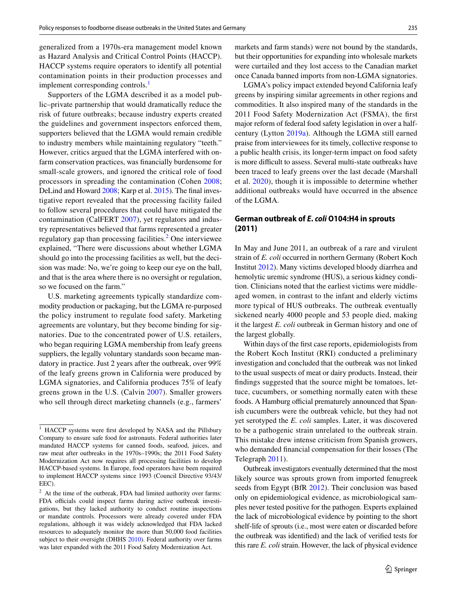generalized from a 1970s-era management model known as Hazard Analysis and Critical Control Points (HACCP). HACCP systems require operators to identify all potential contamination points in their production processes and implement corresponding controls.<sup>[1](#page-2-0)</sup>

Supporters of the LGMA described it as a model public–private partnership that would dramatically reduce the risk of future outbreaks; because industry experts created the guidelines and government inspectors enforced them, supporters believed that the LGMA would remain credible to industry members while maintaining regulatory "teeth." However, critics argued that the LGMA interfered with onfarm conservation practices, was fnancially burdensome for small-scale growers, and ignored the critical role of food processors in spreading the contamination (Cohen [2008](#page-14-10); DeLind and Howard [2008;](#page-14-0) Karp et al. [2015\)](#page-14-11). The fnal investigative report revealed that the processing facility failed to follow several procedures that could have mitigated the contamination (CalFERT [2007](#page-13-5)), yet regulators and industry representatives believed that farms represented a greater regulatory gap than processing facilities.<sup>[2](#page-2-1)</sup> One interviewee explained, "There were discussions about whether LGMA should go into the processing facilities as well, but the decision was made: No, we're going to keep our eye on the ball, and that is the area where there is no oversight or regulation, so we focused on the farm."

U.S. marketing agreements typically standardize commodity production or packaging, but the LGMA re-purposed the policy instrument to regulate food safety. Marketing agreements are voluntary, but they become binding for signatories. Due to the concentrated power of U.S. retailers, who began requiring LGMA membership from leafy greens suppliers, the legally voluntary standards soon became mandatory in practice. Just 2 years after the outbreak, over 99% of the leafy greens grown in California were produced by LGMA signatories, and California produces 75% of leafy greens grown in the U.S. (Calvin [2007](#page-14-12)). Smaller growers who sell through direct marketing channels (e.g., farmers'

markets and farm stands) were not bound by the standards, but their opportunities for expanding into wholesale markets were curtailed and they lost access to the Canadian market once Canada banned imports from non-LGMA signatories.

LGMA's policy impact extended beyond California leafy greens by inspiring similar agreements in other regions and commodities. It also inspired many of the standards in the 2011 Food Safety Modernization Act (FSMA), the frst major reform of federal food safety legislation in over a halfcentury (Lytton [2019a\)](#page-14-13). Although the LGMA still earned praise from interviewees for its timely, collective response to a public health crisis, its longer-term impact on food safety is more difficult to assess. Several multi-state outbreaks have been traced to leafy greens over the last decade (Marshall et al. [2020\)](#page-14-14), though it is impossible to determine whether additional outbreaks would have occurred in the absence of the LGMA.

# **German outbreak of** *E***.** *coli* **O104:H4 in sprouts (2011)**

In May and June 2011, an outbreak of a rare and virulent strain of *E. coli* occurred in northern Germany (Robert Koch Institut [2012\)](#page-15-8). Many victims developed bloody diarrhea and hemolytic uremic syndrome (HUS), a serious kidney condition. Clinicians noted that the earliest victims were middleaged women, in contrast to the infant and elderly victims more typical of HUS outbreaks. The outbreak eventually sickened nearly 4000 people and 53 people died, making it the largest *E. coli* outbreak in German history and one of the largest globally.

Within days of the frst case reports, epidemiologists from the Robert Koch Institut (RKI) conducted a preliminary investigation and concluded that the outbreak was not linked to the usual suspects of meat or dairy products. Instead, their fndings suggested that the source might be tomatoes, lettuce, cucumbers, or something normally eaten with these foods. A Hamburg official prematurely announced that Spanish cucumbers were the outbreak vehicle, but they had not yet serotyped the *E. coli* samples. Later, it was discovered to be a pathogenic strain unrelated to the outbreak strain. This mistake drew intense criticism from Spanish growers, who demanded fnancial compensation for their losses (The Telegraph [2011](#page-15-9)).

Outbreak investigators eventually determined that the most likely source was sprouts grown from imported fenugreek seeds from Egypt (BfR [2012](#page-13-6)). Their conclusion was based only on epidemiological evidence, as microbiological samples never tested positive for the pathogen. Experts explained the lack of microbiological evidence by pointing to the short shelf-life of sprouts (i.e., most were eaten or discarded before the outbreak was identifed) and the lack of verifed tests for this rare *E. coli* strain. However, the lack of physical evidence

<span id="page-2-0"></span><sup>&</sup>lt;sup>1</sup> HACCP systems were first developed by NASA and the Pillsbury Company to ensure safe food for astronauts. Federal authorities later mandated HACCP systems for canned foods, seafood, juices, and raw meat after outbreaks in the 1970s–1990s; the 2011 Food Safety Modernization Act now requires all processing facilities to develop HACCP-based systems. In Europe, food operators have been required to implement HACCP systems since 1993 (Council Directive 93/43/ EEC).

<span id="page-2-1"></span> $2$  At the time of the outbreak, FDA had limited authority over farms: FDA officials could inspect farms during active outbreak investigations, but they lacked authority to conduct routine inspections or mandate controls. Processors were already covered under FDA regulations, although it was widely acknowledged that FDA lacked resources to adequately monitor the more than 50,000 food facilities subject to their oversight (DHHS [2010\)](#page-14-15). Federal authority over farms was later expanded with the 2011 Food Safety Modernization Act.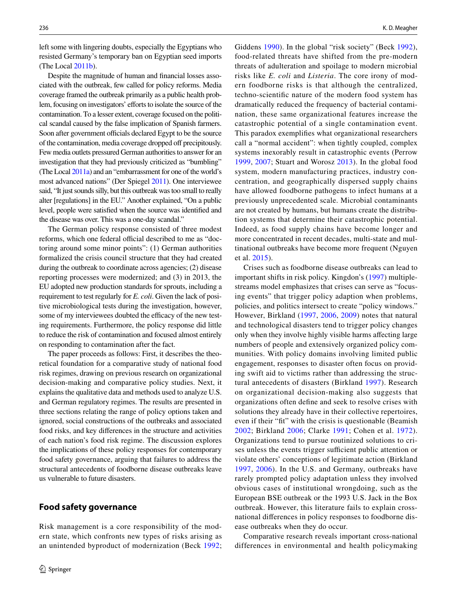left some with lingering doubts, especially the Egyptians who resisted Germany's temporary ban on Egyptian seed imports (The Local [2011b\)](#page-15-10).

Despite the magnitude of human and fnancial losses associated with the outbreak, few called for policy reforms. Media coverage framed the outbreak primarily as a public health problem, focusing on investigators' efforts to isolate the source of the contamination. To a lesser extent, coverage focused on the political scandal caused by the false implication of Spanish farmers. Soon after government officials declared Egypt to be the source of the contamination, media coverage dropped off precipitously. Few media outlets pressured German authorities to answer for an investigation that they had previously criticized as "bumbling" (The Local [2011a\)](#page-15-11) and an "embarrassment for one of the world's most advanced nations" (Der Spiegel [2011](#page-14-16)). One interviewee said, "It just sounds silly, but this outbreak was too small to really alter [regulations] in the EU." Another explained, "On a public level, people were satisfed when the source was identifed and the disease was over. This was a one-day scandal."

The German policy response consisted of three modest reforms, which one federal official described to me as "doctoring around some minor points": (1) German authorities formalized the crisis council structure that they had created during the outbreak to coordinate across agencies; (2) disease reporting processes were modernized; and (3) in 2013, the EU adopted new production standards for sprouts, including a requirement to test regularly for *E. coli*. Given the lack of positive microbiological tests during the investigation, however, some of my interviewees doubted the efficacy of the new testing requirements. Furthermore, the policy response did little to reduce the risk of contamination and focused almost entirely on responding to contamination after the fact.

The paper proceeds as follows: First, it describes the theoretical foundation for a comparative study of national food risk regimes, drawing on previous research on organizational decision-making and comparative policy studies. Next, it explains the qualitative data and methods used to analyze U.S. and German regulatory regimes. The results are presented in three sections relating the range of policy options taken and ignored, social constructions of the outbreaks and associated food risks, and key diferences in the structure and activities of each nation's food risk regime. The discussion explores the implications of these policy responses for contemporary food safety governance, arguing that failures to address the structural antecedents of foodborne disease outbreaks leave us vulnerable to future disasters.

# **Food safety governance**

Risk management is a core responsibility of the modern state, which confronts new types of risks arising as an unintended byproduct of modernization (Beck [1992](#page-13-7); Giddens [1990](#page-14-17)). In the global "risk society" (Beck [1992](#page-13-7)), food-related threats have shifted from the pre-modern threats of adulteration and spoilage to modern microbial risks like *E. coli* and *Listeria*. The core irony of modern foodborne risks is that although the centralized, techno-scientifc nature of the modern food system has dramatically reduced the frequency of bacterial contamination, these same organizational features increase the catastrophic potential of a single contamination event. This paradox exemplifes what organizational researchers call a "normal accident": when tightly coupled, complex systems inexorably result in catastrophic events (Perrow [1999,](#page-15-12) [2007](#page-15-13); Stuart and Worosz [2013](#page-15-14)). In the global food system, modern manufacturing practices, industry concentration, and geographically dispersed supply chains have allowed foodborne pathogens to infect humans at a previously unprecedented scale. Microbial contaminants are not created by humans, but humans create the distribution systems that determine their catastrophic potential. Indeed, as food supply chains have become longer and more concentrated in recent decades, multi-state and multinational outbreaks have become more frequent (Nguyen et al. [2015\)](#page-15-15).

Crises such as foodborne disease outbreaks can lead to important shifts in risk policy. Kingdon's [\(1997\)](#page-14-4) multiplestreams model emphasizes that crises can serve as "focusing events" that trigger policy adaption when problems, policies, and politics intersect to create "policy windows." However, Birkland ([1997](#page-13-2), [2006,](#page-13-8) [2009](#page-13-9)) notes that natural and technological disasters tend to trigger policy changes only when they involve highly visible harms afecting large numbers of people and extensively organized policy communities. With policy domains involving limited public engagement, responses to disaster often focus on providing swift aid to victims rather than addressing the structural antecedents of disasters (Birkland [1997](#page-13-2)). Research on organizational decision-making also suggests that organizations often defne and seek to resolve crises with solutions they already have in their collective repertoires, even if their "ft" with the crisis is questionable (Beamish [2002](#page-13-10); Birkland [2006;](#page-13-8) Clarke [1991;](#page-14-18) Cohen et al. [1972](#page-14-19)). Organizations tend to pursue routinized solutions to crises unless the events trigger sufficient public attention or violate others' conceptions of legitimate action (Birkland [1997](#page-13-2), [2006\)](#page-13-8). In the U.S. and Germany, outbreaks have rarely prompted policy adaptation unless they involved obvious cases of institutional wrongdoing, such as the European BSE outbreak or the 1993 U.S. Jack in the Box outbreak. However, this literature fails to explain crossnational diferences in policy responses to foodborne disease outbreaks when they do occur.

Comparative research reveals important cross-national differences in environmental and health policymaking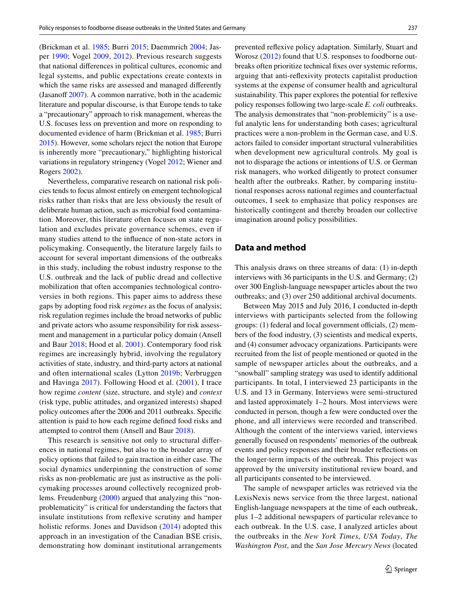(Brickman et al. [1985](#page-13-0); Burri [2015](#page-13-1); Daemmrich [2004;](#page-14-20) Jasper [1990](#page-14-21); Vogel [2009](#page-15-16), [2012](#page-15-17)). Previous research suggests that national diferences in political cultures, economic and legal systems, and public expectations create contexts in which the same risks are assessed and managed diferently (Jasanoff  $2007$ ). A common narrative, both in the academic literature and popular discourse, is that Europe tends to take a "precautionary" approach to risk management, whereas the U.S. focuses less on prevention and more on responding to documented evidence of harm (Brickman et al. [1985](#page-13-0); Burri [2015\)](#page-13-1). However, some scholars reject the notion that Europe is inherently more "precautionary," highlighting historical variations in regulatory stringency (Vogel [2012](#page-15-17); Wiener and Rogers [2002\)](#page-15-18).

Nevertheless, comparative research on national risk policies tends to focus almost entirely on emergent technological risks rather than risks that are less obviously the result of deliberate human action, such as microbial food contamination. Moreover, this literature often focuses on state regulation and excludes private governance schemes, even if many studies attend to the infuence of non-state actors in policymaking. Consequently, the literature largely fails to account for several important dimensions of the outbreaks in this study, including the robust industry response to the U.S. outbreak and the lack of public dread and collective mobilization that often accompanies technological controversies in both regions. This paper aims to address these gaps by adopting food risk *regimes* as the focus of analysis; risk regulation regimes include the broad networks of public and private actors who assume responsibility for risk assessment and management in a particular policy domain (Ansell and Baur [2018;](#page-13-3) Hood et al. [2001](#page-14-2)). Contemporary food risk regimes are increasingly hybrid, involving the regulatory activities of state, industry, and third-party actors at national and often international scales (Lytton [2019b;](#page-14-22) Verbruggen and Havinga [2017\)](#page-15-1). Following Hood et al. [\(2001\)](#page-14-2), I trace how regime *content* (size, structure, and style) and *context* (risk type, public attitudes, and organized interests) shaped policy outcomes after the 2006 and 2011 outbreaks. Specifc attention is paid to how each regime defned food risks and attempted to control them (Ansell and Baur [2018\)](#page-13-3).

This research is sensitive not only to structural diferences in national regimes, but also to the broader array of policy options that failed to gain traction in either case. The social dynamics underpinning the construction of some risks as non-problematic are just as instructive as the policymaking processes around collectively recognized problems. Freudenburg ([2000](#page-14-5)) argued that analyzing this "nonproblematicity" is critical for understanding the factors that insulate institutions from refexive scrutiny and hamper holistic reforms. Jones and Davidson [\(2014](#page-14-6)) adopted this approach in an investigation of the Canadian BSE crisis, demonstrating how dominant institutional arrangements prevented refexive policy adaptation. Similarly, Stuart and Worosz ([2012\)](#page-15-19) found that U.S. responses to foodborne outbreaks often prioritize technical fxes over systemic reforms, arguing that anti-refexivity protects capitalist production systems at the expense of consumer health and agricultural sustainability. This paper explores the potential for refexive policy responses following two large-scale *E. coli* outbreaks. The analysis demonstrates that "non-problemicity" is a useful analytic lens for understanding both cases; agricultural practices were a non-problem in the German case, and U.S. actors failed to consider important structural vulnerabilities when development new agricultural controls. My goal is not to disparage the actions or intentions of U.S. or German risk managers, who worked diligently to protect consumer health after the outbreaks. Rather, by comparing institutional responses across national regimes and counterfactual outcomes, I seek to emphasize that policy responses are historically contingent and thereby broaden our collective imagination around policy possibilities.

# **Data and method**

This analysis draws on three streams of data: (1) in-depth interviews with 36 participants in the U.S. and Germany; (2) over 300 English-language newspaper articles about the two outbreaks; and (3) over 250 additional archival documents.

Between May 2015 and July 2016, I conducted in-depth interviews with participants selected from the following groups:  $(1)$  federal and local government officials,  $(2)$  members of the food industry, (3) scientists and medical experts, and (4) consumer advocacy organizations. Participants were recruited from the list of people mentioned or quoted in the sample of newspaper articles about the outbreaks, and a "snowball" sampling strategy was used to identify additional participants. In total, I interviewed 23 participants in the U.S. and 13 in Germany. Interviews were semi-structured and lasted approximately 1–2 hours. Most interviews were conducted in person, though a few were conducted over the phone, and all interviews were recorded and transcribed. Although the content of the interviews varied, interviews generally focused on respondents' memories of the outbreak events and policy responses and their broader refections on the longer-term impacts of the outbreak. This project was approved by the university institutional review board, and all participants consented to be interviewed.

The sample of newspaper articles was retrieved via the LexisNexis news service from the three largest, national English-language newspapers at the time of each outbreak, plus 1–2 additional newspapers of particular relevance to each outbreak. In the U.S. case, I analyzed articles about the outbreaks in the *New York Times*, *USA Today*, *The Washington Post*, and the *San Jose Mercury News* (located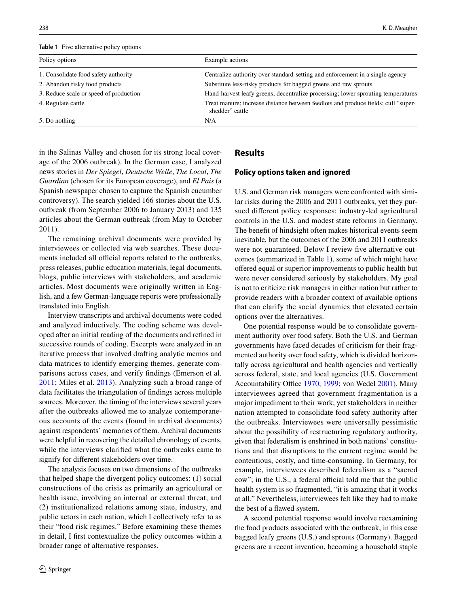<span id="page-5-0"></span>**Table 1** Five alternative policy options

| Example actions                                                                                      |
|------------------------------------------------------------------------------------------------------|
| Centralize authority over standard-setting and enforcement in a single agency                        |
| Substitute less-risky products for bagged greens and raw sprouts                                     |
| Hand-harvest leafy greens; decentralize processing; lower sprouting temperatures                     |
| Treat manure; increase distance between feedlots and produce fields; cull "super-<br>shedder" cattle |
| N/A                                                                                                  |
|                                                                                                      |

in the Salinas Valley and chosen for its strong local coverage of the 2006 outbreak). In the German case, I analyzed news stories in *Der Spiegel*, *Deutsche Welle*, *The Local*, *The Guardian* (chosen for its European coverage), and *El Pais* (a Spanish newspaper chosen to capture the Spanish cucumber controversy). The search yielded 166 stories about the U.S. outbreak (from September 2006 to January 2013) and 135 articles about the German outbreak (from May to October 2011).

The remaining archival documents were provided by interviewees or collected via web searches. These documents included all official reports related to the outbreaks, press releases, public education materials, legal documents, blogs, public interviews with stakeholders, and academic articles. Most documents were originally written in English, and a few German-language reports were professionally translated into English.

Interview transcripts and archival documents were coded and analyzed inductively. The coding scheme was developed after an initial reading of the documents and refned in successive rounds of coding. Excerpts were analyzed in an iterative process that involved drafting analytic memos and data matrices to identify emerging themes, generate comparisons across cases, and verify fndings (Emerson et al. [2011](#page-14-23); Miles et al. [2013\)](#page-14-24). Analyzing such a broad range of data facilitates the triangulation of fndings across multiple sources. Moreover, the timing of the interviews several years after the outbreaks allowed me to analyze contemporaneous accounts of the events (found in archival documents) against respondents' memories of them. Archival documents were helpful in recovering the detailed chronology of events, while the interviews clarifed what the outbreaks came to signify for diferent stakeholders over time.

The analysis focuses on two dimensions of the outbreaks that helped shape the divergent policy outcomes: (1) social constructions of the crisis as primarily an agricultural or health issue, involving an internal or external threat; and (2) institutionalized relations among state, industry, and public actors in each nation, which I collectively refer to as their "food risk regimes." Before examining these themes in detail, I frst contextualize the policy outcomes within a broader range of alternative responses.

## **Results**

#### **Policy options taken and ignored**

U.S. and German risk managers were confronted with similar risks during the 2006 and 2011 outbreaks, yet they pursued diferent policy responses: industry-led agricultural controls in the U.S. and modest state reforms in Germany. The beneft of hindsight often makes historical events seem inevitable, but the outcomes of the 2006 and 2011 outbreaks were not guaranteed. Below I review five alternative outcomes (summarized in Table [1](#page-5-0)), some of which might have ofered equal or superior improvements to public health but were never considered seriously by stakeholders. My goal is not to criticize risk managers in either nation but rather to provide readers with a broader context of available options that can clarify the social dynamics that elevated certain options over the alternatives.

One potential response would be to consolidate government authority over food safety. Both the U.S. and German governments have faced decades of criticism for their fragmented authority over food safety, which is divided horizontally across agricultural and health agencies and vertically across federal, state, and local agencies (U.S. Government Accountability Office [1970](#page-15-20), [1999](#page-15-21); von Wedel [2001\)](#page-15-22). Many interviewees agreed that government fragmentation is a major impediment to their work, yet stakeholders in neither nation attempted to consolidate food safety authority after the outbreaks. Interviewees were universally pessimistic about the possibility of restructuring regulatory authority, given that federalism is enshrined in both nations' constitutions and that disruptions to the current regime would be contentious, costly, and time-consuming. In Germany, for example, interviewees described federalism as a "sacred cow"; in the U.S., a federal official told me that the public health system is so fragmented, "it is amazing that it works at all." Nevertheless, interviewees felt like they had to make the best of a fawed system.

A second potential response would involve reexamining the food products associated with the outbreak, in this case bagged leafy greens (U.S.) and sprouts (Germany). Bagged greens are a recent invention, becoming a household staple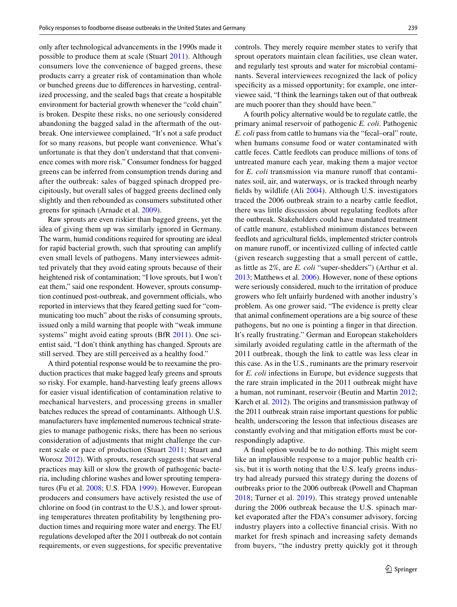only after technological advancements in the 1990s made it possible to produce them at scale (Stuart [2011\)](#page-15-23). Although consumers love the convenience of bagged greens, these products carry a greater risk of contamination than whole or bunched greens due to diferences in harvesting, centralized processing, and the sealed bags that create a hospitable environment for bacterial growth whenever the "cold chain" is broken. Despite these risks, no one seriously considered abandoning the bagged salad in the aftermath of the outbreak. One interviewee complained, "It's not a safe product for so many reasons, but people want convenience. What's unfortunate is that they don't understand that that convenience comes with more risk." Consumer fondness for bagged greens can be inferred from consumption trends during and after the outbreak: sales of bagged spinach dropped precipitously, but overall sales of bagged greens declined only slightly and then rebounded as consumers substituted other greens for spinach (Arnade et al. [2009\)](#page-13-11).

Raw sprouts are even riskier than bagged greens, yet the idea of giving them up was similarly ignored in Germany. The warm, humid conditions required for sprouting are ideal for rapid bacterial growth, such that sprouting can amplify even small levels of pathogens. Many interviewees admitted privately that they avoid eating sprouts because of their heightened risk of contamination; "I love sprouts, but I won't eat them," said one respondent. However, sprouts consumption continued post-outbreak, and government officials, who reported in interviews that they feared getting sued for "communicating too much" about the risks of consuming sprouts, issued only a mild warning that people with "weak immune systems" might avoid eating sprouts (BfR [2011\)](#page-13-12). One scientist said, "I don't think anything has changed. Sprouts are still served. They are still perceived as a healthy food."

A third potential response would be to reexamine the production practices that make bagged leafy greens and sprouts so risky. For example, hand-harvesting leafy greens allows for easier visual identifcation of contamination relative to mechanical harvesters, and processing greens in smaller batches reduces the spread of contaminants. Although U.S. manufacturers have implemented numerous technical strategies to manage pathogenic risks, there has been no serious consideration of adjustments that might challenge the current scale or pace of production (Stuart [2011](#page-15-23); Stuart and Worosz [2012](#page-15-19)). With sprouts, research suggests that several practices may kill or slow the growth of pathogenic bacteria, including chlorine washes and lower sprouting temperatures (Fu et al. [2008;](#page-14-25) U.S. FDA [1999\)](#page-15-24). However, European producers and consumers have actively resisted the use of chlorine on food (in contrast to the U.S.), and lower sprouting temperatures threaten proftability by lengthening production times and requiring more water and energy. The EU regulations developed after the 2011 outbreak do not contain requirements, or even suggestions, for specifc preventative controls. They merely require member states to verify that sprout operators maintain clean facilities, use clean water, and regularly test sprouts and water for microbial contaminants. Several interviewees recognized the lack of policy specificity as a missed opportunity; for example, one interviewee said, "I think the learnings taken out of that outbreak are much poorer than they should have been."

A fourth policy alternative would be to regulate cattle, the primary animal reservoir of pathogenic *E. coli*. Pathogenic *E. coli* pass from cattle to humans via the "fecal–oral" route, when humans consume food or water contaminated with cattle feces. Cattle feedlots can produce millions of tons of untreated manure each year, making them a major vector for *E. coli* transmission via manure runoff that contaminates soil, air, and waterways, or is tracked through nearby felds by wildlife (Ali [2004\)](#page-13-13). Although U.S. investigators traced the 2006 outbreak strain to a nearby cattle feedlot, there was little discussion about regulating feedlots after the outbreak. Stakeholders could have mandated treatment of cattle manure, established minimum distances between feedlots and agricultural felds, implemented stricter controls on manure runof, or incentivized culling of infected cattle (given research suggesting that a small percent of cattle, as little as 2%, are *E. coli* "super-shedders") (Arthur et al. [2013;](#page-13-14) Matthews et al. [2006\)](#page-14-26). However, none of these options were seriously considered, much to the irritation of produce growers who felt unfairly burdened with another industry's problem. As one grower said, "The evidence is pretty clear that animal confnement operations are a big source of these pathogens, but no one is pointing a fnger in that direction. It's really frustrating." German and European stakeholders similarly avoided regulating cattle in the aftermath of the 2011 outbreak, though the link to cattle was less clear in this case. As in the U.S., ruminants are the primary reservoir for *E. coli* infections in Europe, but evidence suggests that the rare strain implicated in the 2011 outbreak might have a human, not ruminant, reservoir (Beutin and Martin [2012](#page-13-15); Karch et al. [2012](#page-14-27)). The origins and transmission pathway of the 2011 outbreak strain raise important questions for public health, underscoring the lesson that infectious diseases are constantly evolving and that mitigation efforts must be correspondingly adaptive.

A fnal option would be to do nothing. This might seem like an implausible response to a major public health crisis, but it is worth noting that the U.S. leafy greens industry had already pursued this strategy during the dozens of outbreaks prior to the 2006 outbreak (Powell and Chapman [2018;](#page-15-25) Turner et al. [2019](#page-15-26)). This strategy proved untenable during the 2006 outbreak because the U.S. spinach market evaporated after the FDA's consumer advisory, forcing industry players into a collective fnancial crisis. With no market for fresh spinach and increasing safety demands from buyers, "the industry pretty quickly got it through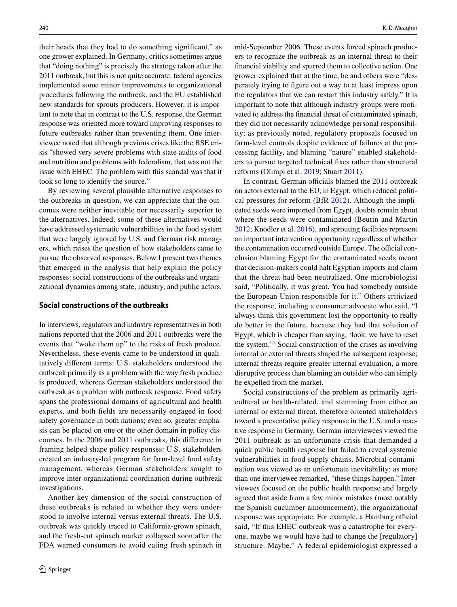their heads that they had to do something signifcant," as one grower explained. In Germany, critics sometimes argue that "doing nothing" is precisely the strategy taken after the 2011 outbreak, but this is not quite accurate: federal agencies implemented some minor improvements to organizational procedures following the outbreak, and the EU established new standards for sprouts producers. However, it is important to note that in contrast to the U.S. response, the German response was oriented more toward improving responses to future outbreaks rather than preventing them. One interviewee noted that although previous crises like the BSE crisis "showed very severe problems with state audits of food and nutrition and problems with federalism, that was not the issue with EHEC. The problem with this scandal was that it took so long to identify the source."

By reviewing several plausible alternative responses to the outbreaks in question, we can appreciate that the outcomes were neither inevitable nor necessarily superior to the alternatives. Indeed, some of these alternatives would have addressed systematic vulnerabilities in the food system that were largely ignored by U.S. and German risk managers, which raises the question of how stakeholders came to pursue the observed responses. Below I present two themes that emerged in the analysis that help explain the policy responses: social constructions of the outbreaks and organizational dynamics among state, industry, and public actors.

## <span id="page-7-0"></span>**Social constructions of the outbreaks**

In interviews, regulators and industry representatives in both nations reported that the 2006 and 2011 outbreaks were the events that "woke them up" to the risks of fresh produce. Nevertheless, these events came to be understood in qualitatively diferent terms: U.S. stakeholders understood the outbreak primarily as a problem with the way fresh produce is produced, whereas German stakeholders understood the outbreak as a problem with outbreak response. Food safety spans the professional domains of agricultural and health experts, and both felds are necessarily engaged in food safety governance in both nations; even so, greater emphasis can be placed on one or the other domain in policy discourses. In the 2006 and 2011 outbreaks, this diference in framing helped shape policy responses: U.S. stakeholders created an industry-led program for farm-level food safety management, whereas German stakeholders sought to improve inter-organizational coordination during outbreak investigations.

Another key dimension of the social construction of these outbreaks is related to whether they were understood to involve internal versus external threats. The U.S. outbreak was quickly traced to California-grown spinach, and the fresh-cut spinach market collapsed soon after the FDA warned consumers to avoid eating fresh spinach in mid-September 2006. These events forced spinach producers to recognize the outbreak as an internal threat to their fnancial viability and spurred them to collective action. One grower explained that at the time, he and others were "desperately trying to fgure out a way to at least impress upon the regulators that we can restart this industry safely." It is important to note that although industry groups were motivated to address the fnancial threat of contaminated spinach, they did not necessarily acknowledge personal responsibility; as previously noted, regulatory proposals focused on farm-level controls despite evidence of failures at the processing facility, and blaming "nature" enabled stakeholders to pursue targeted technical fxes rather than structural reforms (Olimpi et al. [2019](#page-15-27); Stuart [2011\)](#page-15-23).

In contrast, German officials blamed the 2011 outbreak on actors external to the EU, in Egypt, which reduced political pressures for reform (BfR [2012](#page-13-6)). Although the implicated seeds were imported from Egypt, doubts remain about where the seeds were contaminated (Beutin and Martin [2012](#page-13-15); Knödler et al. [2016](#page-14-28)), and sprouting facilities represent an important intervention opportunity regardless of whether the contamination occurred outside Europe. The official conclusion blaming Egypt for the contaminated seeds meant that decision-makers could halt Egyptian imports and claim that the threat had been neutralized. One microbiologist said, "Politically, it was great. You had somebody outside the European Union responsible for it." Others criticized the response, including a consumer advocate who said, "I always think this government lost the opportunity to really do better in the future, because they had that solution of Egypt, which is cheaper than saying, 'look, we have to reset the system.'" Social construction of the crises as involving internal or external threats shaped the subsequent response; internal threats require greater internal evaluation, a more disruptive process than blaming an outsider who can simply be expelled from the market.

Social constructions of the problem as primarily agricultural or health-related, and stemming from either an internal or external threat, therefore oriented stakeholders toward a preventative policy response in the U.S. and a reactive response in Germany. German interviewees viewed the 2011 outbreak as an unfortunate crisis that demanded a quick public health response but failed to reveal systemic vulnerabilities in food supply chains. Microbial contamination was viewed as an unfortunate inevitability: as more than one interviewee remarked, "these things happen." Interviewees focused on the public health response and largely agreed that aside from a few minor mistakes (most notably the Spanish cucumber announcement), the organizational response was appropriate. For example, a Hamburg official said, "If this EHEC outbreak was a catastrophe for everyone, maybe we would have had to change the [regulatory] structure. Maybe." A federal epidemiologist expressed a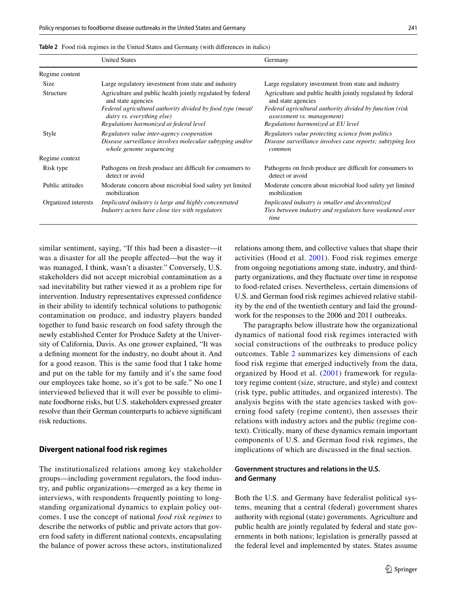<span id="page-8-0"></span>

| Table 2 Food risk regimes in the United States and Germany (with differences in italics) |  |
|------------------------------------------------------------------------------------------|--|
|------------------------------------------------------------------------------------------|--|

|                     | <b>United States</b>                                                                                    | Germany                                                                                                                    |
|---------------------|---------------------------------------------------------------------------------------------------------|----------------------------------------------------------------------------------------------------------------------------|
| Regime content      |                                                                                                         |                                                                                                                            |
| <b>Size</b>         | Large regulatory investment from state and industry                                                     | Large regulatory investment from state and industry                                                                        |
| Structure           | Agriculture and public health jointly regulated by federal<br>and state agencies                        | Agriculture and public health jointly regulated by federal<br>and state agencies                                           |
|                     | Federal agricultural authority divided by food type (meat/<br>dairy vs. everything else)                | Federal agricultural authority divided by function (risk<br><i>assessment vs. management</i> )                             |
|                     | Regulations harmonized at federal level                                                                 | Regulations harmonized at EU level                                                                                         |
| Style               | Regulators value inter-agency cooperation                                                               | Regulators value protecting science from politics                                                                          |
|                     | Disease surveillance involves molecular subtyping and/or<br>whole genome sequencing                     | Disease surveillance involves case reports; subtyping less<br>common                                                       |
| Regime context      |                                                                                                         |                                                                                                                            |
| Risk type           | Pathogens on fresh produce are difficult for consumers to<br>detect or avoid                            | Pathogens on fresh produce are difficult for consumers to<br>detect or avoid                                               |
| Public attitudes    | Moderate concern about microbial food safety yet limited<br>mobilization                                | Moderate concern about microbial food safety yet limited<br>mobilization                                                   |
| Organized interests | Implicated industry is large and highly concentrated<br>Industry actors have close ties with regulators | Implicated industry is smaller and decentralized<br>Ties between industry and regulators have weakened over<br><i>time</i> |

similar sentiment, saying, "If this had been a disaster—it was a disaster for all the people afected—but the way it was managed, I think, wasn't a disaster." Conversely, U.S. stakeholders did not accept microbial contamination as a sad inevitability but rather viewed it as a problem ripe for intervention. Industry representatives expressed confdence in their ability to identify technical solutions to pathogenic contamination on produce, and industry players banded together to fund basic research on food safety through the newly established Center for Produce Safety at the University of California, Davis. As one grower explained, "It was a defning moment for the industry, no doubt about it. And for a good reason. This is the same food that I take home and put on the table for my family and it's the same food our employees take home, so it's got to be safe." No one I interviewed believed that it will ever be possible to eliminate foodborne risks, but U.S. stakeholders expressed greater resolve than their German counterparts to achieve signifcant risk reductions.

#### **Divergent national food risk regimes**

The institutionalized relations among key stakeholder groups—including government regulators, the food industry, and public organizations—emerged as a key theme in interviews, with respondents frequently pointing to longstanding organizational dynamics to explain policy outcomes. I use the concept of national *food risk regimes* to describe the networks of public and private actors that govern food safety in diferent national contexts, encapsulating the balance of power across these actors, institutionalized relations among them, and collective values that shape their activities (Hood et al. [2001\)](#page-14-2). Food risk regimes emerge from ongoing negotiations among state, industry, and thirdparty organizations, and they fuctuate over time in response to food-related crises. Nevertheless, certain dimensions of U.S. and German food risk regimes achieved relative stability by the end of the twentieth century and laid the groundwork for the responses to the 2006 and 2011 outbreaks.

The paragraphs below illustrate how the organizational dynamics of national food risk regimes interacted with social constructions of the outbreaks to produce policy outcomes. Table [2](#page-8-0) summarizes key dimensions of each food risk regime that emerged inductively from the data, organized by Hood et al. ([2001](#page-14-2)) framework for regulatory regime content (size, structure, and style) and context (risk type, public attitudes, and organized interests). The analysis begins with the state agencies tasked with governing food safety (regime content), then assesses their relations with industry actors and the public (regime context). Critically, many of these dynamics remain important components of U.S. and German food risk regimes, the implications of which are discussed in the fnal section.

# **Government structures and relations in the U.S. and Germany**

Both the U.S. and Germany have federalist political systems, meaning that a central (federal) government shares authority with regional (state) governments. Agriculture and public health are jointly regulated by federal and state governments in both nations; legislation is generally passed at the federal level and implemented by states. States assume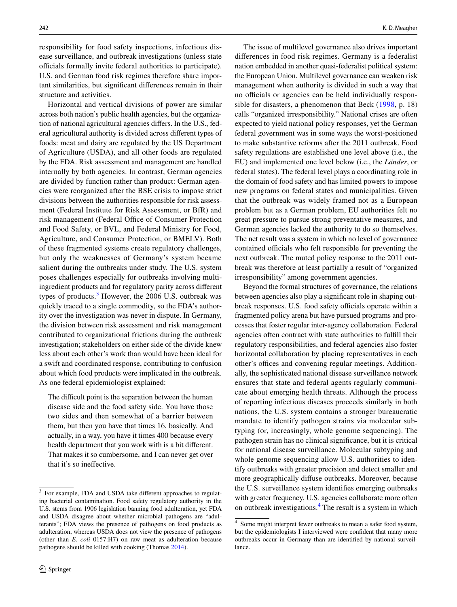responsibility for food safety inspections, infectious disease surveillance, and outbreak investigations (unless state officials formally invite federal authorities to participate). U.S. and German food risk regimes therefore share important similarities, but signifcant diferences remain in their structure and activities.

Horizontal and vertical divisions of power are similar across both nation's public health agencies, but the organization of national agricultural agencies difers. In the U.S., federal agricultural authority is divided across diferent types of foods: meat and dairy are regulated by the US Department of Agriculture (USDA), and all other foods are regulated by the FDA. Risk assessment and management are handled internally by both agencies. In contrast, German agencies are divided by function rather than product: German agencies were reorganized after the BSE crisis to impose strict divisions between the authorities responsible for risk assessment (Federal Institute for Risk Assessment, or BfR) and risk management (Federal Office of Consumer Protection and Food Safety, or BVL, and Federal Ministry for Food, Agriculture, and Consumer Protection, or BMELV). Both of these fragmented systems create regulatory challenges, but only the weaknesses of Germany's system became salient during the outbreaks under study. The U.S. system poses challenges especially for outbreaks involving multiingredient products and for regulatory parity across diferent types of products.<sup>[3](#page-9-0)</sup> However, the 2006 U.S. outbreak was quickly traced to a single commodity, so the FDA's authority over the investigation was never in dispute. In Germany, the division between risk assessment and risk management contributed to organizational frictions during the outbreak investigation; stakeholders on either side of the divide knew less about each other's work than would have been ideal for a swift and coordinated response, contributing to confusion about which food products were implicated in the outbreak. As one federal epidemiologist explained:

The difficult point is the separation between the human disease side and the food safety side. You have those two sides and then somewhat of a barrier between them, but then you have that times 16, basically. And actually, in a way, you have it times 400 because every health department that you work with is a bit diferent. That makes it so cumbersome, and I can never get over that it's so inefective.

The issue of multilevel governance also drives important diferences in food risk regimes. Germany is a federalist nation embedded in another quasi-federalist political system: the European Union. Multilevel governance can weaken risk management when authority is divided in such a way that no officials or agencies can be held individually responsible for disasters, a phenomenon that Beck ([1998](#page-13-16), p. 18) calls "organized irresponsibility." National crises are often expected to yield national policy responses, yet the German federal government was in some ways the worst-positioned to make substantive reforms after the 2011 outbreak. Food safety regulations are established one level above (i.e., the EU) and implemented one level below (i.e., the *Länder*, or federal states). The federal level plays a coordinating role in the domain of food safety and has limited powers to impose new programs on federal states and municipalities. Given that the outbreak was widely framed not as a European problem but as a German problem, EU authorities felt no great pressure to pursue strong preventative measures, and German agencies lacked the authority to do so themselves. The net result was a system in which no level of governance contained officials who felt responsible for preventing the next outbreak. The muted policy response to the 2011 outbreak was therefore at least partially a result of "organized irresponsibility" among government agencies.

Beyond the formal structures of governance, the relations between agencies also play a signifcant role in shaping outbreak responses. U.S. food safety officials operate within a fragmented policy arena but have pursued programs and processes that foster regular inter-agency collaboration. Federal agencies often contract with state authorities to fulfll their regulatory responsibilities, and federal agencies also foster horizontal collaboration by placing representatives in each other's offices and convening regular meetings. Additionally, the sophisticated national disease surveillance network ensures that state and federal agents regularly communicate about emerging health threats. Although the process of reporting infectious diseases proceeds similarly in both nations, the U.S. system contains a stronger bureaucratic mandate to identify pathogen strains via molecular subtyping (or, increasingly, whole genome sequencing). The pathogen strain has no clinical signifcance, but it is critical for national disease surveillance. Molecular subtyping and whole genome sequencing allow U.S. authorities to identify outbreaks with greater precision and detect smaller and more geographically difuse outbreaks. Moreover, because the U.S. surveillance system identifes emerging outbreaks with greater frequency, U.S. agencies collaborate more often on outbreak investigations.<sup>[4](#page-9-1)</sup> The result is a system in which

<span id="page-9-0"></span><sup>&</sup>lt;sup>3</sup> For example, FDA and USDA take different approaches to regulating bacterial contamination. Food safety regulatory authority in the U.S. stems from 1906 legislation banning food adulteration, yet FDA and USDA disagree about whether microbial pathogens are "adulterants"; FDA views the presence of pathogens on food products as adulteration, whereas USDA does not view the presence of pathogens (other than *E. coli* 0157:H7) on raw meat as adulteration because pathogens should be killed with cooking (Thomas [2014](#page-15-28)).

<span id="page-9-1"></span><sup>4</sup> Some might interpret fewer outbreaks to mean a safer food system, but the epidemiologists I interviewed were confdent that many more outbreaks occur in Germany than are identifed by national surveillance.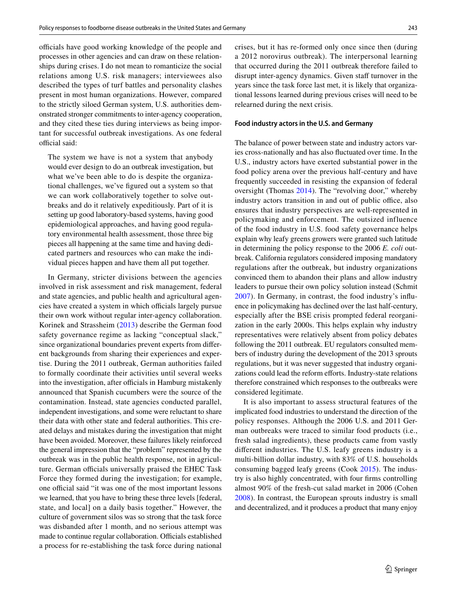officials have good working knowledge of the people and processes in other agencies and can draw on these relationships during crises. I do not mean to romanticize the social relations among U.S. risk managers; interviewees also described the types of turf battles and personality clashes present in most human organizations. However, compared to the strictly siloed German system, U.S. authorities demonstrated stronger commitments to inter-agency cooperation, and they cited these ties during interviews as being important for successful outbreak investigations. As one federal official said:

The system we have is not a system that anybody would ever design to do an outbreak investigation, but what we've been able to do is despite the organizational challenges, we've fgured out a system so that we can work collaboratively together to solve outbreaks and do it relatively expeditiously. Part of it is setting up good laboratory-based systems, having good epidemiological approaches, and having good regulatory environmental health assessment, those three big pieces all happening at the same time and having dedicated partners and resources who can make the individual pieces happen and have them all put together.

In Germany, stricter divisions between the agencies involved in risk assessment and risk management, federal and state agencies, and public health and agricultural agencies have created a system in which officials largely pursue their own work without regular inter-agency collaboration. Korinek and Strassheim ([2013](#page-14-1)) describe the German food safety governance regime as lacking "conceptual slack," since organizational boundaries prevent experts from diferent backgrounds from sharing their experiences and expertise. During the 2011 outbreak, German authorities failed to formally coordinate their activities until several weeks into the investigation, after officials in Hamburg mistakenly announced that Spanish cucumbers were the source of the contamination. Instead, state agencies conducted parallel, independent investigations, and some were reluctant to share their data with other state and federal authorities. This created delays and mistakes during the investigation that might have been avoided. Moreover, these failures likely reinforced the general impression that the "problem" represented by the outbreak was in the public health response, not in agriculture. German officials universally praised the EHEC Task Force they formed during the investigation; for example, one official said "it was one of the most important lessons we learned, that you have to bring these three levels [federal, state, and local] on a daily basis together." However, the culture of government silos was so strong that the task force was disbanded after 1 month, and no serious attempt was made to continue regular collaboration. Officials established a process for re-establishing the task force during national

crises, but it has re-formed only once since then (during a 2012 norovirus outbreak). The interpersonal learning that occurred during the 2011 outbreak therefore failed to disrupt inter-agency dynamics. Given staff turnover in the years since the task force last met, it is likely that organizational lessons learned during previous crises will need to be relearned during the next crisis.

#### **Food industry actors in the U.S. and Germany**

The balance of power between state and industry actors varies cross-nationally and has also fuctuated over time. In the U.S., industry actors have exerted substantial power in the food policy arena over the previous half-century and have frequently succeeded in resisting the expansion of federal oversight (Thomas [2014\)](#page-15-28). The "revolving door," whereby industry actors transition in and out of public office, also ensures that industry perspectives are well-represented in policymaking and enforcement. The outsized influence of the food industry in U.S. food safety governance helps explain why leafy greens growers were granted such latitude in determining the policy response to the 2006 *E. coli* outbreak. California regulators considered imposing mandatory regulations after the outbreak, but industry organizations convinced them to abandon their plans and allow industry leaders to pursue their own policy solution instead (Schmit [2007\)](#page-15-29). In Germany, in contrast, the food industry's infuence in policymaking has declined over the last half-century, especially after the BSE crisis prompted federal reorganization in the early 2000s. This helps explain why industry representatives were relatively absent from policy debates following the 2011 outbreak. EU regulators consulted members of industry during the development of the 2013 sprouts regulations, but it was never suggested that industry organizations could lead the reform efforts. Industry-state relations therefore constrained which responses to the outbreaks were considered legitimate.

It is also important to assess structural features of the implicated food industries to understand the direction of the policy responses. Although the 2006 U.S. and 2011 German outbreaks were traced to similar food products (i.e., fresh salad ingredients), these products came from vastly diferent industries. The U.S. leafy greens industry is a multi-billion dollar industry, with 83% of U.S. households consuming bagged leafy greens (Cook [2015](#page-14-29)). The industry is also highly concentrated, with four frms controlling almost 90% of the fresh-cut salad market in 2006 (Cohen [2008\)](#page-14-10). In contrast, the European sprouts industry is small and decentralized, and it produces a product that many enjoy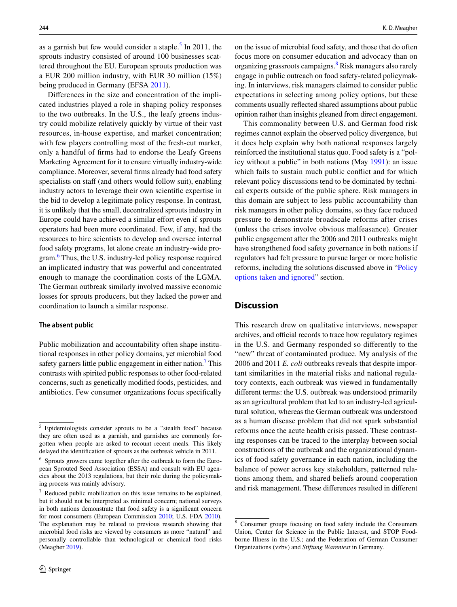as a garnish but few would consider a staple.<sup>[5](#page-11-0)</sup> In 2011, the sprouts industry consisted of around 100 businesses scattered throughout the EU. European sprouts production was a EUR 200 million industry, with EUR 30 million (15%) being produced in Germany (EFSA [2011](#page-14-30)).

Diferences in the size and concentration of the implicated industries played a role in shaping policy responses to the two outbreaks. In the U.S., the leafy greens industry could mobilize relatively quickly by virtue of their vast resources, in-house expertise, and market concentration; with few players controlling most of the fresh-cut market, only a handful of frms had to endorse the Leafy Greens Marketing Agreement for it to ensure virtually industry-wide compliance. Moreover, several frms already had food safety specialists on staff (and others would follow suit), enabling industry actors to leverage their own scientifc expertise in the bid to develop a legitimate policy response. In contrast, it is unlikely that the small, decentralized sprouts industry in Europe could have achieved a similar effort even if sprouts operators had been more coordinated. Few, if any, had the resources to hire scientists to develop and oversee internal food safety programs, let alone create an industry-wide pro-gram.<sup>[6](#page-11-1)</sup> Thus, the U.S. industry-led policy response required an implicated industry that was powerful and concentrated enough to manage the coordination costs of the LGMA. The German outbreak similarly involved massive economic losses for sprouts producers, but they lacked the power and coordination to launch a similar response.

#### **The absent public**

Public mobilization and accountability often shape institutional responses in other policy domains, yet microbial food safety garners little public engagement in either nation.<sup>[7](#page-11-2)</sup> This contrasts with spirited public responses to other food-related concerns, such as genetically modifed foods, pesticides, and antibiotics. Few consumer organizations focus specifcally

on the issue of microbial food safety, and those that do often focus more on consumer education and advocacy than on organizing grassroots campaigns.<sup>8</sup> Risk managers also rarely engage in public outreach on food safety-related policymaking. In interviews, risk managers claimed to consider public expectations in selecting among policy options, but these comments usually refected shared assumptions about public opinion rather than insights gleaned from direct engagement.

This commonality between U.S. and German food risk regimes cannot explain the observed policy divergence, but it does help explain why both national responses largely reinforced the institutional status quo. Food safety is a "policy without a public" in both nations (May [1991\)](#page-14-31): an issue which fails to sustain much public confict and for which relevant policy discussions tend to be dominated by technical experts outside of the public sphere. Risk managers in this domain are subject to less public accountability than risk managers in other policy domains, so they face reduced pressure to demonstrate broadscale reforms after crises (unless the crises involve obvious malfeasance). Greater public engagement after the 2006 and 2011 outbreaks might have strengthened food safety governance in both nations if regulators had felt pressure to pursue larger or more holistic reforms, including the solutions discussed above in "[Policy](#page-7-0) [options taken and ignored"](#page-7-0) section.

# **Discussion**

This research drew on qualitative interviews, newspaper archives, and official records to trace how regulatory regimes in the U.S. and Germany responded so diferently to the "new" threat of contaminated produce. My analysis of the 2006 and 2011 *E. coli* outbreaks reveals that despite important similarities in the material risks and national regulatory contexts, each outbreak was viewed in fundamentally diferent terms: the U.S. outbreak was understood primarily as an agricultural problem that led to an industry-led agricultural solution, whereas the German outbreak was understood as a human disease problem that did not spark substantial reforms once the acute health crisis passed. These contrasting responses can be traced to the interplay between social constructions of the outbreak and the organizational dynamics of food safety governance in each nation, including the balance of power across key stakeholders, patterned relations among them, and shared beliefs around cooperation  $\frac{1}{7}$  Reduced public mobilization on this issue remains to be explained, and risk management. These differences resulted in different  $\frac{1}{7}$ 

<span id="page-11-0"></span><sup>5</sup> Epidemiologists consider sprouts to be a "stealth food" because they are often used as a garnish, and garnishes are commonly forgotten when people are asked to recount recent meals. This likely delayed the identifcation of sprouts as the outbreak vehicle in 2011.

<span id="page-11-1"></span><sup>6</sup> Sprouts growers came together after the outbreak to form the European Sprouted Seed Association (ESSA) and consult with EU agencies about the 2013 regulations, but their role during the policymaking process was mainly advisory.

<span id="page-11-2"></span>but it should not be interpreted as minimal concern; national surveys in both nations demonstrate that food safety is a signifcant concern for most consumers (European Commission [2010](#page-14-32); U.S. FDA [2010](#page-15-30)). The explanation may be related to previous research showing that microbial food risks are viewed by consumers as more "natural" and personally controllable than technological or chemical food risks (Meagher [2019](#page-14-33)).

<span id="page-11-3"></span><sup>8</sup> Consumer groups focusing on food safety include the Consumers Union, Center for Science in the Public Interest, and STOP Foodborne Illness in the U.S.; and the Federation of German Consumer Organizations (vzbv) and *Stiftung Warentest* in Germany.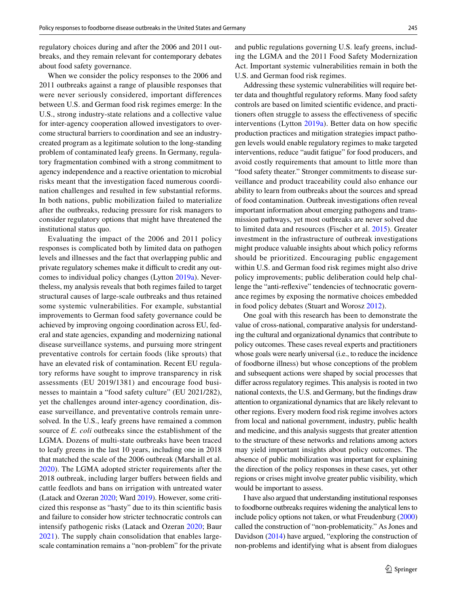regulatory choices during and after the 2006 and 2011 outbreaks, and they remain relevant for contemporary debates about food safety governance.

When we consider the policy responses to the 2006 and 2011 outbreaks against a range of plausible responses that were never seriously considered, important differences between U.S. and German food risk regimes emerge: In the U.S., strong industry-state relations and a collective value for inter-agency cooperation allowed investigators to overcome structural barriers to coordination and see an industrycreated program as a legitimate solution to the long-standing problem of contaminated leafy greens. In Germany, regulatory fragmentation combined with a strong commitment to agency independence and a reactive orientation to microbial risks meant that the investigation faced numerous coordination challenges and resulted in few substantial reforms. In both nations, public mobilization failed to materialize after the outbreaks, reducing pressure for risk managers to consider regulatory options that might have threatened the institutional status quo.

Evaluating the impact of the 2006 and 2011 policy responses is complicated both by limited data on pathogen levels and illnesses and the fact that overlapping public and private regulatory schemes make it difficult to credit any outcomes to individual policy changes (Lytton [2019a](#page-14-13)). Nevertheless, my analysis reveals that both regimes failed to target structural causes of large-scale outbreaks and thus retained some systemic vulnerabilities. For example, substantial improvements to German food safety governance could be achieved by improving ongoing coordination across EU, federal and state agencies, expanding and modernizing national disease surveillance systems, and pursuing more stringent preventative controls for certain foods (like sprouts) that have an elevated risk of contamination. Recent EU regulatory reforms have sought to improve transparency in risk assessments (EU 2019/1381) and encourage food businesses to maintain a "food safety culture" (EU 2021/282), yet the challenges around inter-agency coordination, disease surveillance, and preventative controls remain unresolved. In the U.S., leafy greens have remained a common source of *E. coli* outbreaks since the establishment of the LGMA. Dozens of multi-state outbreaks have been traced to leafy greens in the last 10 years, including one in 2018 that matched the scale of the 2006 outbreak (Marshall et al. [2020](#page-14-14)). The LGMA adopted stricter requirements after the 2018 outbreak, including larger buffers between fields and cattle feedlots and bans on irrigation with untreated water (Latack and Ozeran [2020](#page-14-34); Ward [2019\)](#page-15-31). However, some criticized this response as "hasty" due to its thin scientifc basis and failure to consider how stricter technocratic controls can intensify pathogenic risks (Latack and Ozeran [2020;](#page-14-34) Baur [2021\)](#page-13-4). The supply chain consolidation that enables largescale contamination remains a "non-problem" for the private and public regulations governing U.S. leafy greens, including the LGMA and the 2011 Food Safety Modernization Act. Important systemic vulnerabilities remain in both the U.S. and German food risk regimes.

Addressing these systemic vulnerabilities will require better data and thoughtful regulatory reforms. Many food safety controls are based on limited scientifc evidence, and practitioners often struggle to assess the efectiveness of specifc interventions (Lytton [2019a\)](#page-14-13). Better data on how specifc production practices and mitigation strategies impact pathogen levels would enable regulatory regimes to make targeted interventions, reduce "audit fatigue" for food producers, and avoid costly requirements that amount to little more than "food safety theater." Stronger commitments to disease surveillance and product traceability could also enhance our ability to learn from outbreaks about the sources and spread of food contamination. Outbreak investigations often reveal important information about emerging pathogens and transmission pathways, yet most outbreaks are never solved due to limited data and resources (Fischer et al. [2015](#page-14-35)). Greater investment in the infrastructure of outbreak investigations might produce valuable insights about which policy reforms should be prioritized. Encouraging public engagement within U.S. and German food risk regimes might also drive policy improvements; public deliberation could help challenge the "anti-refexive" tendencies of technocratic governance regimes by exposing the normative choices embedded in food policy debates (Stuart and Worosz [2012\)](#page-15-19).

One goal with this research has been to demonstrate the value of cross-national, comparative analysis for understanding the cultural and organizational dynamics that contribute to policy outcomes. These cases reveal experts and practitioners whose goals were nearly universal (i.e., to reduce the incidence of foodborne illness) but whose conceptions of the problem and subsequent actions were shaped by social processes that difer across regulatory regimes. This analysis is rooted in two national contexts, the U.S. and Germany, but the fndings draw attention to organizational dynamics that are likely relevant to other regions. Every modern food risk regime involves actors from local and national government, industry, public health and medicine, and this analysis suggests that greater attention to the structure of these networks and relations among actors may yield important insights about policy outcomes. The absence of public mobilization was important for explaining the direction of the policy responses in these cases, yet other regions or crises might involve greater public visibility, which would be important to assess.

I have also argued that understanding institutional responses to foodborne outbreaks requires widening the analytical lens to include policy options not taken, or what Freudenburg [\(2000\)](#page-14-5) called the construction of "non-problematicity." As Jones and Davidson [\(2014\)](#page-14-6) have argued, "exploring the construction of non-problems and identifying what is absent from dialogues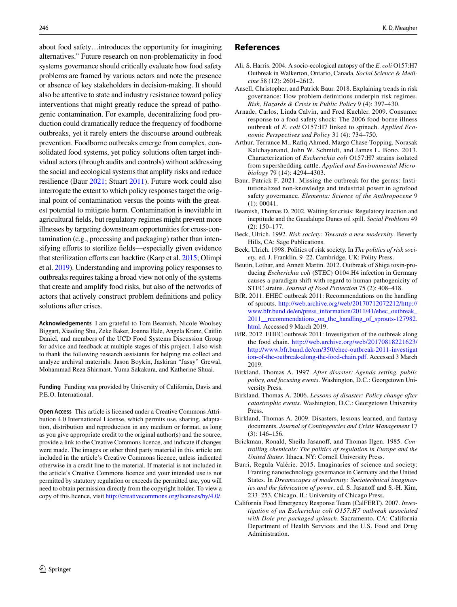about food safety…introduces the opportunity for imagining alternatives." Future research on non-problematicity in food systems governance should critically evaluate how food safety problems are framed by various actors and note the presence or absence of key stakeholders in decision-making. It should also be attentive to state and industry resistance toward policy interventions that might greatly reduce the spread of pathogenic contamination. For example, decentralizing food production could dramatically reduce the frequency of foodborne outbreaks, yet it rarely enters the discourse around outbreak prevention. Foodborne outbreaks emerge from complex, consolidated food systems, yet policy solutions often target individual actors (through audits and controls) without addressing the social and ecological systems that amplify risks and reduce resilience (Baur [2021;](#page-13-4) Stuart [2011\)](#page-15-23). Future work could also interrogate the extent to which policy responses target the original point of contamination versus the points with the greatest potential to mitigate harm. Contamination is inevitable in agricultural felds, but regulatory regimes might prevent more illnesses by targeting downstream opportunities for cross-contamination (e.g., processing and packaging) rather than intensifying efforts to sterilize fields—especially given evidence that sterilization efforts can backfire (Karp et al. [2015;](#page-14-11) Olimpi et al. [2019\)](#page-15-27). Understanding and improving policy responses to outbreaks requires taking a broad view not only of the systems that create and amplify food risks, but also of the networks of actors that actively construct problem defnitions and policy solutions after crises.

**Acknowledgements** I am grateful to Tom Beamish, Nicole Woolsey Biggart, Xiaoling Shu, Zeke Baker, Joanna Hale, Angela Kranz, Caitlin Daniel, and members of the UCD Food Systems Discussion Group for advice and feedback at multiple stages of this project. I also wish to thank the following research assistants for helping me collect and analyze archival materials: Jason Boykin, Jaskiran "Jassy" Grewal, Mohammad Reza Shirmast, Yuma Sakakura, and Katherine Shuai.

**Funding** Funding was provided by University of California, Davis and P.E.O. International.

**Open Access** This article is licensed under a Creative Commons Attribution 4.0 International License, which permits use, sharing, adaptation, distribution and reproduction in any medium or format, as long as you give appropriate credit to the original author(s) and the source, provide a link to the Creative Commons licence, and indicate if changes were made. The images or other third party material in this article are included in the article's Creative Commons licence, unless indicated otherwise in a credit line to the material. If material is not included in the article's Creative Commons licence and your intended use is not permitted by statutory regulation or exceeds the permitted use, you will need to obtain permission directly from the copyright holder. To view a copy of this licence, visit <http://creativecommons.org/licenses/by/4.0/>.

## **References**

- <span id="page-13-13"></span>Ali, S. Harris. 2004. A socio-ecological autopsy of the *E*. *coli* O157:H7 Outbreak in Walkerton, Ontario, Canada. *Social Science & Medicine* 58 (12): 2601–2612.
- <span id="page-13-3"></span>Ansell, Christopher, and Patrick Baur. 2018. Explaining trends in risk governance: How problem defnitions underpin risk regimes. *Risk, Hazards & Crisis in Public Policy* 9 (4): 397–430.
- <span id="page-13-11"></span>Arnade, Carlos, Linda Calvin, and Fred Kuchler. 2009. Consumer response to a food safety shock: The 2006 food-borne illness outbreak of *E*. *coli* O157:H7 linked to spinach. *Applied Economic Perspectives and Policy* 31 (4): 734–750.
- <span id="page-13-14"></span>Arthur, Terrance M., Rafiq Ahmed, Margo Chase-Topping, Norasak Kalchayanand, John W. Schmidt, and James L. Bono. 2013. Characterization of *Escherichia coli* O157:H7 strains isolated from supershedding cattle. *Applied and Environmental Microbiology* 79 (14): 4294–4303.
- <span id="page-13-4"></span>Baur, Patrick F. 2021. Missing the outbreak for the germs: Institutionalized non-knowledge and industrial power in agrofood safety governance. *Elementa: Science of the Anthropocene* 9 (1): 00041.
- <span id="page-13-10"></span>Beamish, Thomas D. 2002. Waiting for crisis: Regulatory inaction and ineptitude and the Guadalupe Dunes oil spill. *Social Problems* 49 (2): 150–177.
- <span id="page-13-7"></span>Beck, Ulrich. 1992. *Risk society: Towards a new modernity*. Beverly Hills, CA: Sage Publications.
- <span id="page-13-16"></span>Beck, Ulrich. 1998. Politics of risk society. In *The politics of risk society,* ed. J. Franklin, 9–22. Cambridge, UK: Polity Press.
- <span id="page-13-15"></span>Beutin, Lothar, and Annett Martin. 2012. Outbreak of Shiga toxin-producing *Escherichia coli* (STEC) O104:H4 infection in Germany causes a paradigm shift with regard to human pathogenicity of STEC strains. *Journal of Food Protection* 75 (2): 408–418.
- <span id="page-13-12"></span>BfR. 2011. EHEC outbreak 2011: Recommendations on the handling of sprouts. [http://web.archive.org/web/20170712072212/http://](http://web.archive.org/web/20170712072212/http://www.bfr.bund.de/en/press_information/2011/41/ehec_outbreak_2011__recommendations_on_the_handling_of_sprouts-127982.html) [www.bfr.bund.de/en/press\\_information/2011/41/ehec\\_outbreak\\_](http://web.archive.org/web/20170712072212/http://www.bfr.bund.de/en/press_information/2011/41/ehec_outbreak_2011__recommendations_on_the_handling_of_sprouts-127982.html) [2011\\_\\_recommendations\\_on\\_the\\_handling\\_of\\_sprouts-127982.](http://web.archive.org/web/20170712072212/http://www.bfr.bund.de/en/press_information/2011/41/ehec_outbreak_2011__recommendations_on_the_handling_of_sprouts-127982.html) [html.](http://web.archive.org/web/20170712072212/http://www.bfr.bund.de/en/press_information/2011/41/ehec_outbreak_2011__recommendations_on_the_handling_of_sprouts-127982.html) Accessed 9 March 2019.
- <span id="page-13-6"></span>BfR. 2012. EHEC outbreak 2011: Investigation of the outbreak along the food chain. [http://web.archive.org/web/20170818221623/](http://web.archive.org/web/20170818221623/http://www.bfr.bund.de/cm/350/ehec-outbreak-2011-investigation-of-the-outbreak-along-the-food-chain.pdf) [http://www.bfr.bund.de/cm/350/ehec-outbreak-2011-investigat](http://web.archive.org/web/20170818221623/http://www.bfr.bund.de/cm/350/ehec-outbreak-2011-investigation-of-the-outbreak-along-the-food-chain.pdf) [ion-of-the-outbreak-along-the-food-chain.pdf.](http://web.archive.org/web/20170818221623/http://www.bfr.bund.de/cm/350/ehec-outbreak-2011-investigation-of-the-outbreak-along-the-food-chain.pdf) Accessed 3 March 2019.
- <span id="page-13-2"></span>Birkland, Thomas A. 1997. *After disaster: Agenda setting, public policy, and focusing events*. Washington, D.C.: Georgetown University Press.
- <span id="page-13-8"></span>Birkland, Thomas A. 2006. *Lessons of disaster: Policy change after catastrophic events*. Washington, D.C.: Georgetown University Press.
- <span id="page-13-9"></span>Birkland, Thomas A. 2009. Disasters, lessons learned, and fantasy documents. *Journal of Contingencies and Crisis Management* 17 (3): 146–156.
- <span id="page-13-0"></span>Brickman, Ronald, Sheila Jasanoff, and Thomas Ilgen. 1985. Con*trolling chemicals: The politics of regulation in Europe and the United States*. Ithaca, NY: Cornell University Press.
- <span id="page-13-1"></span>Burri, Regula Valérie. 2015. Imaginaries of science and society: Framing nanotechnology governance in Germany and the United States. In *Dreamscapes of modernity: Sociotechnical imaginaries and the fabrication of power*, ed. S. Jasanoff and S.-H. Kim, 233–253. Chicago, IL: University of Chicago Press.
- <span id="page-13-5"></span>California Food Emergency Response Team (CalFERT). 2007. *Investigation of an Escherichia coli O157:H7 outbreak associated with Dole pre-packaged spinach*. Sacramento, CA: California Department of Health Services and the U.S. Food and Drug Administration.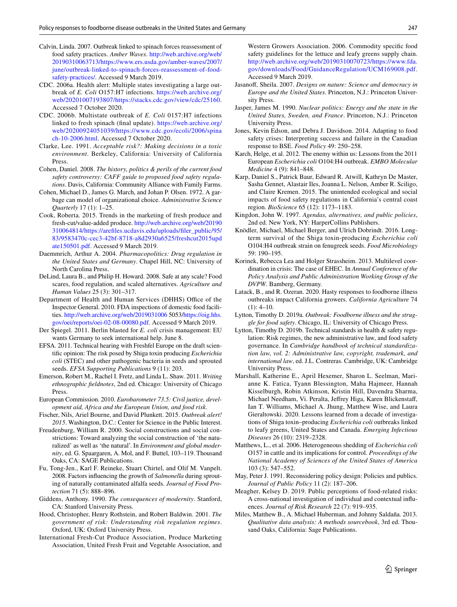- <span id="page-14-12"></span>Calvin, Linda. 2007. Outbreak linked to spinach forces reassessment of food safety practices. *Amber Waves*. [http://web.archive.org/web/](http://web.archive.org/web/20190310063713/https://www.ers.usda.gov/amber-waves/2007/june/outbreak-linked-to-spinach-forces-reassessment-of-food-safety-practices/) [20190310063713/https://www.ers.usda.gov/amber-waves/2007/](http://web.archive.org/web/20190310063713/https://www.ers.usda.gov/amber-waves/2007/june/outbreak-linked-to-spinach-forces-reassessment-of-food-safety-practices/) [june/outbreak-linked-to-spinach-forces-reassessment-of-food](http://web.archive.org/web/20190310063713/https://www.ers.usda.gov/amber-waves/2007/june/outbreak-linked-to-spinach-forces-reassessment-of-food-safety-practices/)[safety-practices/.](http://web.archive.org/web/20190310063713/https://www.ers.usda.gov/amber-waves/2007/june/outbreak-linked-to-spinach-forces-reassessment-of-food-safety-practices/) Accessed 9 March 2019.
- <span id="page-14-8"></span>CDC. 2006a. Health alert: Multiple states investigating a large outbreak of *E. Coli* O157:H7 infections. [https://web.archive.org/](https://web.archive.org/web/20201007193807/https://stacks.cdc.gov/view/cdc/25160) [web/20201007193807/https://stacks.cdc.gov/view/cdc/25160.](https://web.archive.org/web/20201007193807/https://stacks.cdc.gov/view/cdc/25160) Accessed 7 October 2020.
- <span id="page-14-7"></span>CDC. 2006b. Multistate outbreak of *E. Coli* 0157:H7 infections linked to fresh spinach (fnal update). [https://web.archive.org/](https://web.archive.org/web/20200924051039/https://www.cdc.gov/ecoli/2006/spinach-10-2006.html) [web/20200924051039/https://www.cdc.gov/ecoli/2006/spina](https://web.archive.org/web/20200924051039/https://www.cdc.gov/ecoli/2006/spinach-10-2006.html) [ch-10-2006.html](https://web.archive.org/web/20200924051039/https://www.cdc.gov/ecoli/2006/spinach-10-2006.html). Accessed 7 October 2020.
- <span id="page-14-18"></span>Clarke, Lee. 1991. *Acceptable risk?: Making decisions in a toxic environment*. Berkeley, California: University of California Press.
- <span id="page-14-10"></span>Cohen, Daniel. 2008. *The history, politics & perils of the current food safety controversy: CAFF guide to proposed food safety regulations*. Davis, California: Community Alliance with Family Farms.
- <span id="page-14-19"></span>Cohen, Michael D., James G. March, and Johan P. Olsen. 1972. A garbage can model of organizational choice. *Administrative Science Quarterly* 17 (1): 1–25.
- <span id="page-14-29"></span>Cook, Roberta. 2015. Trends in the marketing of fresh produce and fresh-cut/value-added produce. [http://web.archive.org/web/20190](http://web.archive.org/web/20190310064814/https://arefiles.ucdavis.edu/uploads/filer_public/95/83/9583470c-cec3-42bf-8718-a8d2930a6525/freshcut2015update150501.pdf) [310064814/https://arefles.ucdavis.edu/uploads/fler\\_public/95/](http://web.archive.org/web/20190310064814/https://arefiles.ucdavis.edu/uploads/filer_public/95/83/9583470c-cec3-42bf-8718-a8d2930a6525/freshcut2015update150501.pdf) [83/9583470c-cec3-42bf-8718-a8d2930a6525/freshcut2015upd](http://web.archive.org/web/20190310064814/https://arefiles.ucdavis.edu/uploads/filer_public/95/83/9583470c-cec3-42bf-8718-a8d2930a6525/freshcut2015update150501.pdf) [ate150501.pdf](http://web.archive.org/web/20190310064814/https://arefiles.ucdavis.edu/uploads/filer_public/95/83/9583470c-cec3-42bf-8718-a8d2930a6525/freshcut2015update150501.pdf). Accessed 9 March 2019.
- <span id="page-14-20"></span>Daemmrich, Arthur A. 2004. *Pharmacopolitics: Drug regulation in the United States and Germany*. Chapel Hill, NC: University of North Carolina Press.
- <span id="page-14-0"></span>DeLind, Laura B., and Philip H. Howard. 2008. Safe at any scale? Food scares, food regulation, and scaled alternatives. *Agriculture and Human Values* 25 (3): 301–317.
- <span id="page-14-15"></span>Department of Health and Human Services (DHHS) Office of the Inspector General. 2010. FDA inspections of domestic food facilities.<http://web.archive.org/web/2019031006> 5053[/https://oig.hhs.](https://oig.hhs.gov/oei/reports/oei-02-08-00080.pdf) [gov/oei/reports/oei-02-08-00080.pdf](https://oig.hhs.gov/oei/reports/oei-02-08-00080.pdf). Accessed 9 March 2019.
- <span id="page-14-16"></span>Der Spiegel. 2011. Berlin blasted for *E. coli* crisis management: EU wants Germany to seek international help. June 8.
- <span id="page-14-30"></span>EFSA. 2011. Technical hearing with Freshfel Europe on the draft scientifc opinion: The risk posed by Shiga toxin producing *Escherichia coli* (STEC) and other pathogenic bacteria in seeds and sprouted seeds. *EFSA Supporting Publications* 9 (11): 203.
- <span id="page-14-23"></span>Emerson, Robert M., Rachel I. Fretz, and Linda L. Shaw. 2011. *Writing ethnographic feldnotes*, 2nd ed. Chicago: University of Chicago Press.
- <span id="page-14-32"></span>European Commission. 2010. *Eurobarometer 73.5: Civil justice, development aid, Africa and the European Union, and food risk*.
- <span id="page-14-35"></span>Fischer, Nils, Ariel Bourne, and David Plunkett. 2015. *Outbreak alert! 2015*. Washington, D.C.: Center for Science in the Public Interest.
- <span id="page-14-5"></span>Freudenburg, William R. 2000. Social constructions and social constrictions: Toward analyzing the social construction of 'the naturalized' as well as 'the natural'. In *Environment and global modernity*, ed. G. Spaargaren, A. Mol, and F. Buttel, 103–119. Thousand Oaks, CA: SAGE Publications.
- <span id="page-14-25"></span>Fu, Tong-Jen., Karl F. Reineke, Stuart Chirtel, and Olif M. Vanpelt. 2008. Factors infuencing the growth of *Salmonella* during sprouting of naturally contaminated alfalfa seeds. *Journal of Food Protection* 71 (5): 888–896.
- <span id="page-14-17"></span>Giddens, Anthony. 1990. *The consequences of modernity*. Stanford, CA: Stanford University Press.
- <span id="page-14-2"></span>Hood, Christopher, Henry Rothstein, and Robert Baldwin. 2001. *The government of risk: Understanding risk regulation regimes*. Oxford, UK: Oxford University Press.
- <span id="page-14-9"></span>International Fresh-Cut Produce Association, Produce Marketing Association, United Fresh Fruit and Vegetable Association, and

Western Growers Association. 2006. Commodity specifc food safety guidelines for the lettuce and leafy greens supply chain. [http://web.archive.org/web/20190310070723/https://www.fda.](http://web.archive.org/web/20190310070723/https://www.fda.gov/downloads/Food/GuidanceRegulation/UCM169008.pdf) [gov/downloads/Food/GuidanceRegulation/UCM169008.pdf](http://web.archive.org/web/20190310070723/https://www.fda.gov/downloads/Food/GuidanceRegulation/UCM169008.pdf). Accessed 9 March 2019.

- <span id="page-14-3"></span>Jasanoff, Sheila. 2007. *Designs on nature: Science and democracy in Europe and the United States*. Princeton, N.J.: Princeton University Press.
- <span id="page-14-21"></span>Jasper, James M. 1990. *Nuclear politics: Energy and the state in the United States, Sweden, and France*. Princeton, N.J.: Princeton University Press.
- <span id="page-14-6"></span>Jones, Kevin Edson, and Debra J. Davidson. 2014. Adapting to food safety crises: Interpreting success and failure in the Canadian response to BSE. *Food Policy* 49: 250–258.
- <span id="page-14-27"></span>Karch, Helge, et al. 2012. The enemy within us: Lessons from the 2011 European *Escherichia coli* O104:H4 outbreak. *EMBO Molecular Medicine* 4 (9): 841–848.
- <span id="page-14-11"></span>Karp, Daniel S., Patrick Baur, Edward R. Atwill, Kathryn De Master, Sasha Gennet, Alastair Iles, Joanna L. Nelson, Amber R. Sciligo, and Claire Kremen. 2015. The unintended ecological and social impacts of food safety regulations in California's central coast region. *BioScience* 65 (12): 1173–1183.
- <span id="page-14-4"></span>Kingdon, John W. 1997. *Agendas, alternatives, and public policies*, 2nd ed. New York, NY: HarperCollins Publishers.
- <span id="page-14-28"></span>Knödler, Michael, Michael Berger, and Ulrich Dobrindt. 2016. Longterm survival of the Shiga toxin-producing *Escherichia coli* O104:H4 outbreak strain on fenugreek seeds. *Food Microbiology* 59: 190–195.
- <span id="page-14-1"></span>Korinek, Rebecca Lea and Holger Strassheim. 2013. Multilevel coordination in crisis: The case of EHEC. In *Annual Conference of the Policy Analysis and Public Administration Working Group of the DVPW*. Bamberg, Germany.
- <span id="page-14-34"></span>Latack, B., and R. Ozeran. 2020. Hasty responses to foodborne illness outbreaks impact California growers. *California Agriculture* 74  $(1): 4-10.$
- <span id="page-14-13"></span>Lytton, Timothy D. 2019a. *Outbreak: Foodborne illness and the struggle for food safety*. Chicago, IL: University of Chicago Press.
- <span id="page-14-22"></span>Lytton, Timothy D. 2019b. Technical standards in health & safety regulation: Risk regimes, the new administrative law, and food safety governance. In *Cambridge handbook of technical standardization law, vol. 2: Administrative law, copyright, trademark, and international law*, ed. J.L. Contreras. Cambridge, UK: Cambridge University Press.
- <span id="page-14-14"></span>Marshall, Katherine E., April Hexemer, Sharon L. Seelman, Marianne K. Fatica, Tyann Blessington, Maha Hajmeer, Hannah Kisselburgh, Robin Atkinson, Kristin Hill, Davendra Sharma, Michael Needham, Vi. Peralta, Jefrey Higa, Karen Blickenstaf, Ian T. Williams, Michael A. Jhung, Matthew Wise, and Laura Gieraltowski. 2020. Lessons learned from a decade of investigations of Shiga toxin–producing *Escherichia coli* outbreaks linked to leafy greens, United States and Canada. *Emerging Infectious Diseases* 26 (10): 2319–2328.
- <span id="page-14-26"></span>Matthews, L., et al. 2006. Heterogeneous shedding of *Escherichia coli* O157 in cattle and its implications for control. *Proceedings of the National Academy of Sciences of the United States of America* 103 (3): 547–552.
- <span id="page-14-31"></span>May, Peter J. 1991. Reconsidering policy design: Policies and publics. *Journal of Public Policy* 11 (2): 187–206.
- <span id="page-14-33"></span>Meagher, Kelsey D. 2019. Public perceptions of food-related risks: A cross-national investigation of individual and contextual infuences. *Journal of Risk Research* 22 (7): 919–935.
- <span id="page-14-24"></span>Miles, Matthew B., A. Michael Huberman, and Johnny Saldaña. 2013. *Qualitative data analysis: A methods sourcebook*, 3rd ed. Thousand Oaks, California: Sage Publications.